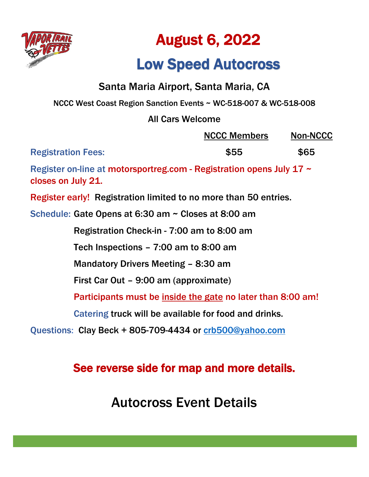

# August 6, 2022

## Low Speed Autocross

NCCC Members Non-NCCC

### Santa Maria Airport, Santa Maria, CA

NCCC West Coast Region Sanction Events ~ WC-518-007 & WC-518-008

### All Cars Welcome

|                           | <b>INUUU IVICITIDEIS</b> | <b>INUH-INUUU</b> |
|---------------------------|--------------------------|-------------------|
| <b>Registration Fees:</b> | \$55                     | \$65              |

Register on-line at motorsportreg.com - Registration opens July 17 ~ closes on July 21.

Register early! Registration limited to no more than 50 entries.

Schedule: Gate Opens at 6:30 am ~ Closes at 8:00 am

Registration Check-in - 7:00 am to 8:00 am

Tech Inspections – 7:00 am to 8:00 am

Mandatory Drivers Meeting – 8:30 am

First Car Out – 9:00 am (approximate)

Participants must be inside the gate no later than 8:00 am!

Catering truck will be available for food and drinks.

Questions: Clay Beck + 805-709-4434 or [crb500@yahoo.com](mailto:crb500@yahoo.com)

### See reverse side for map and more details.

Autocross Event Details